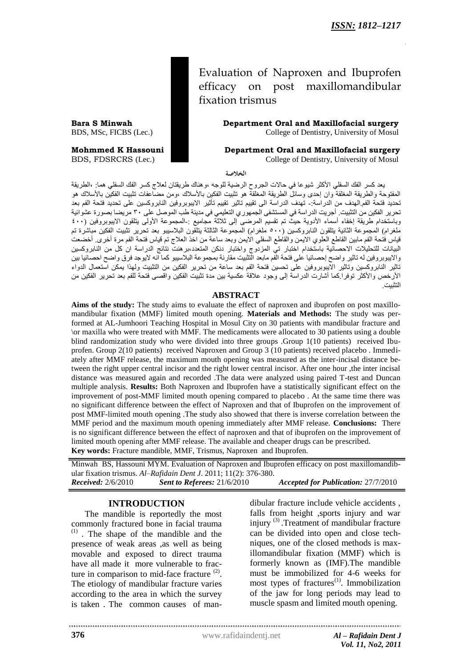Evaluation of Naproxen and Ibuprofen efficacy on post maxillomandibular fixation trismus

**Bara S Minwah Department Oral and Maxillofacial surgery** BDS, MSc, FICBS (Lec.) College of Dentistry, University of Mosul

**Mohmmed K Hassouni Department Oral and Maxillofacial surgery**

BDS, FDSRCRS (Lec.) College of Dentistry, University of Mosul

**الخالصة**

يعد كسر الفك السفلي الأكثر شيوعا في حالات الجروح الرضية للوجه ،وهناك طريقتان لعلاج كسر الفك السفلي هما: ،الطريقة المَفتوحة والطريقة المَغلقة وان إحدى وسائل الطريقة المعلقة هو تثبيت الفكين بالأسلاك ،ومن مضاعفات تثبيت الفكين بالأسلاك هو تحديد فتحة الفم.الهدف من الدراسة:- تهدف الدراسة الى تقييم تاثير تقييم تأثير الايبوبروفين النابروكسين على تحديد فتحة الفم بعد حسب حسبَبَ حسبَبَ عبَّ من الله على المستشفى الحسنَّر عن التعليمي في مدينة طب الموصل على ٣٠ مريضا بصورة عشوائية<br>تحرير الفكين من التثبيت أجريت الدراسة في المستشفى الجمهوري التعليمي في مدينة طب الموصل على ٣٠ مريضا بصورة عشوا وباستخدام طريقة إخفاء أسماء الأدوية حيث تم تقسيم المعرضى إلى ثلاثة مجاميع :-المحموعة الأولى يتلقون الايبوبروفين (٤٠٠ ملغزام) المُجموعة الثانية يتلقون النابزوكسين (٥٠٠ ملغرام) المُجموعة الثالثة يتلقون البلاسيبو بعد تحرير تثبيت الفكين مباشرة تم قياس فتحة الفم مابين القاطع العلوي الايمن والقاطع السفلي الايمن وبعد ساعة من اخذ العلاج تم قياس فتحة الفم مرة أخرى ٍ أخضعت البيانات للتحليلات الاحصائية باستخدام اختبار تي المزدوج واختبار دنكن المتعدد،بزهنت نتائج الدراسة ان كل من النابزوكسين والايبوبزوفين له تاثير واضح إحصائيا على فتحة الفم مابعد التثبيت مقارنة بمجموعة البلاسيبو كما انه لايوجد فزق واضح احصائيا بين ناثير الْنابروكسين وتاثير الايبوبروفين على نحسين فنحة الفم بعد ساعة من نحرير الفكين من التثبيت ولمهذا يمكن استعمال الدواء الأرخص والأكثر توفرا.كما أشارت الدراسة إلى وجود علاقة عكسية بين مدة تثبيت الفكين واقصى فتحة للفم بعد تحرير الفكين من اىخثبُج.

#### **ABSTRACT**

**Aims of the study:** The study aims to evaluate the effect of naproxen and ibuprofen on post maxillomandibular fixation (MMF) limited mouth opening. **Materials and Methods:** The study was performed at AL-Jumhoori Teaching Hospital in Mosul City on 30 patients with mandibular fracture and \or maxilla who were treated with MMF. The medicaments were allocated to 30 patients using a double blind randomization study who were divided into three groups .Group 1(10 patients) received Ibuprofen. Group 2(10 patients) received Naproxen and Group 3 (10 patients) received placebo . Immediately after MMF release, the maximum mouth opening was measured as the inter-incisal distance between the right upper central incisor and the right lower central incisor. After one hour ,the inter incisal distance was measured again and recorded .The data were analyzed using paired T-test and Duncan multiple analysis. **Results:** Both Naproxen and Ibuprofen have a statistically significant effect on the improvement of post-MMF limited mouth opening compared to placebo . At the same time there was no significant difference between the effect of Naproxen and that of Ibuprofen on the improvement of post MMF-limited mouth opening .The study also showed that there is inverse correlation between the MMF period and the maximum mouth opening immediately after MMF release. **Conclusions:** There is no significant difference between the effect of naproxen and that of ibuprofen on the improvement of limited mouth opening after MMF release. The available and cheaper drugs can be prescribed. **Key words:** Fracture mandible, MMF, Trismus, Naproxen and Ibuprofen.

Minwah BS, Hassouni MYM. Evaluation of Naproxen and Ibuprofen efficacy on post maxillomandibular fixation trismus. *Al–Rafidain Dent J*. 2011; 11(2): 376-380. *Received:* 2/6/2010 *Sent to Referees:* 21/6/2010 *Accepted for Publication:* 27/7/2010

### **INTRODUCTION**

The mandible is reportedly the most commonly fractured bone in facial trauma  $(1)$ . The shape of the mandible and the presence of weak areas ,as well as being movable and exposed to direct trauma have all made it more vulnerable to fracture in comparison to mid-face fracture  $(2)$ . The etiology of mandibular fracture varies according to the area in which the survey is taken . The common causes of man-

dibular fracture include vehicle accidents , falls from height ,sports injury and war injury<sup>(3)</sup>. Treatment of mandibular fracture can be divided into open and close techniques, one of the closed methods is maxillomandibular fixation (MMF) which is formerly known as (IMF).The mandible must be immobilized for 4-6 weeks for most types of fractures<sup>(1)</sup>. Immobilization of the jaw for long periods may lead to muscle spasm and limited mouth opening.

www.rafidaindentj.net

**376**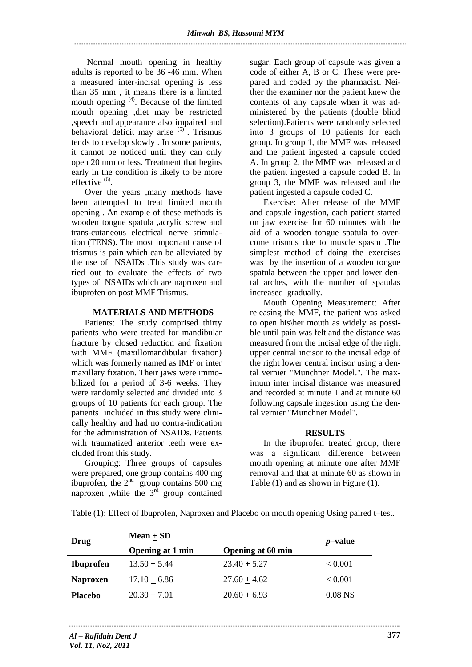Normal mouth opening in healthy adults is reported to be 36 -46 mm. When a measured inter-incisal opening is less than 35 mm , it means there is a limited mouth opening <sup>(4)</sup>. Because of the limited mouth opening ,diet may be restricted ,speech and appearance also impaired and behavioral deficit may arise (5) . Trismus tends to develop slowly . In some patients, it cannot be noticed until they can only open 20 mm or less. Treatment that begins early in the condition is likely to be more  $effective<sup>(6)</sup>$ .

Over the years ,many methods have been attempted to treat limited mouth opening . An example of these methods is wooden tongue spatula ,acrylic screw and trans-cutaneous electrical nerve stimulation (TENS). The most important cause of trismus is pain which can be alleviated by the use of NSAIDs .This study was carried out to evaluate the effects of two types of NSAIDs which are naproxen and ibuprofen on post MMF Trismus.

### **MATERIALS AND METHODS**

Patients: The study comprised thirty patients who were treated for mandibular fracture by closed reduction and fixation with MMF (maxillomandibular fixation) which was formerly named as IMF or inter maxillary fixation. Their jaws were immobilized for a period of 3-6 weeks. They were randomly selected and divided into 3 groups of 10 patients for each group. The patients included in this study were clinically healthy and had no contra-indication for the administration of NSAIDs. Patients with traumatized anterior teeth were excluded from this study.

Grouping: Three groups of capsules were prepared, one group contains 400 mg ibuprofen, the  $2<sup>nd</sup>$  group contains 500 mg naproxen ,while the  $3<sup>rd</sup>$  group contained sugar. Each group of capsule was given a code of either A, B or C. These were prepared and coded by the pharmacist. Neither the examiner nor the patient knew the contents of any capsule when it was administered by the patients (double blind selection).Patients were randomly selected into 3 groups of 10 patients for each group. In group 1, the MMF was released and the patient ingested a capsule coded A. In group 2, the MMF was released and the patient ingested a capsule coded B. In group 3, the MMF was released and the patient ingested a capsule coded C.

Exercise: After release of the MMF and capsule ingestion, each patient started on jaw exercise for 60 minutes with the aid of a wooden tongue spatula to overcome trismus due to muscle spasm .The simplest method of doing the exercises was by the insertion of a wooden tongue spatula between the upper and lower dental arches, with the number of spatulas increased gradually.

Mouth Opening Measurement: After releasing the MMF, the patient was asked to open his\her mouth as widely as possible until pain was felt and the distance was measured from the incisal edge of the right upper central incisor to the incisal edge of the right lower central incisor using a dental vernier "Munchner Model.". The maximum inter incisal distance was measured and recorded at minute 1 and at minute 60 following capsule ingestion using the dental vernier "Munchner Model".

# **RESULTS**

In the ibuprofen treated group, there was a significant difference between mouth opening at minute one after MMF removal and that at minute 60 as shown in Table (1) and as shown in Figure (1).

| Drug             | Mean $\pm$ SD           |                          | $p$ -value         |
|------------------|-------------------------|--------------------------|--------------------|
|                  | <b>Opening at 1 min</b> | <b>Opening at 60 min</b> |                    |
| <b>Ibuprofen</b> | $13.50 + 5.44$          | $23.40 + 5.27$           | < 0.001            |
| <b>Naproxen</b>  | $17.10 + 6.86$          | $27.60 + 4.62$           | ${}_{< 0.001}$     |
| <b>Placebo</b>   | $20.30 \pm 7.01$        | $20.60 \pm 6.93$         | 0.08 <sub>NS</sub> |

Table (1): Effect of Ibuprofen, Naproxen and Placebo on mouth opening Using paired t–test.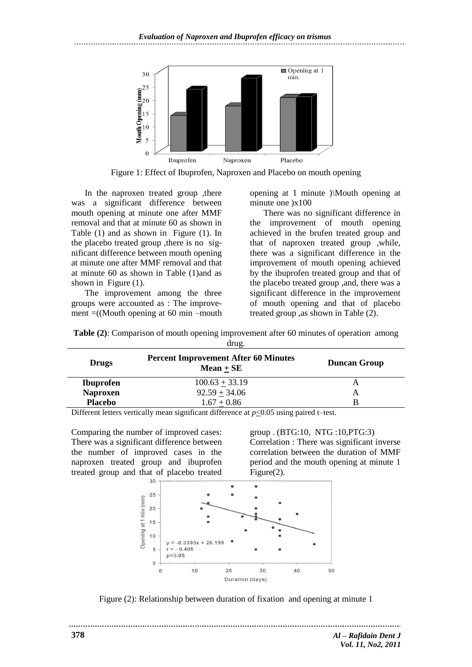*Evaluation of Naproxen and Ibuprofen efficacy on trismus*



Figure 1: Effect of Ibuprofen, Naproxen and Placebo on mouth opening

In the naproxen treated group ,there was a significant difference between mouth opening at minute one after MMF removal and that at minute 60 as shown in Table (1) and as shown in Figure (1). In the placebo treated group ,there is no significant difference between mouth opening at minute one after MMF removal and that at minute 60 as shown in Table (1)and as shown in Figure (1).

The improvement among the three groups were accounted as : The improvement  $=($ (Mouth opening at 60 min –mouth opening at 1 minute )\Mouth opening at minute one  $\chi$ 100

There was no significant difference in the improvement of mouth opening achieved in the brufen treated group and that of naproxen treated group ,while, there was a significant difference in the improvement of mouth opening achieved by the ibuprofen treated group and that of the placebo treated group ,and, there was a significant difference in the improvement of mouth opening and that of placebo treated group ,as shown in Table (2).

| <b>Table (2):</b> Comparison of mouth opening improvement after 60 minutes of operation among |  |
|-----------------------------------------------------------------------------------------------|--|
| drug.                                                                                         |  |

| <b>Drugs</b>     | <b>Percent Improvement After 60 Minutes</b><br>$Mean + SE$ | <b>Duncan Group</b> |
|------------------|------------------------------------------------------------|---------------------|
| <b>Ibuprofen</b> | $100.63 + 33.19$                                           | А                   |
| <b>Naproxen</b>  | $92.59 + 34.06$                                            | А                   |
| <b>Placebo</b>   | $1.67 + 0.86$                                              | B                   |

Different letters vertically mean significant difference at *p*<0.05 using paired t–test.

Comparing the number of improved cases: There was a significant difference between the number of improved cases in the naproxen treated group and ibuprofen treated group and that of placebo treated

group . (BTG:10, NTG :10,PTG:3) Correlation : There was significant inverse correlation between the duration of MMF period and the mouth opening at minute 1 Figure(2).



Figure (2): Relationship between duration of fixation and opening at minute 1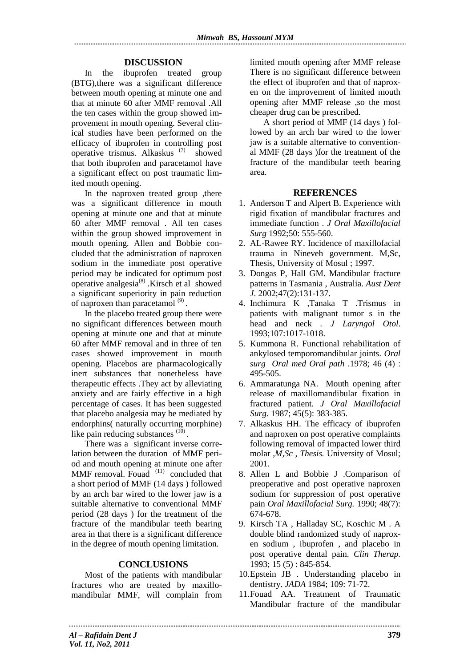## **DISCUSSION**

In the ibuprofen treated group (BTG),there was a significant difference between mouth opening at minute one and that at minute 60 after MMF removal .All the ten cases within the group showed improvement in mouth opening. Several clinical studies have been performed on the efficacy of ibuprofen in controlling post operative trismus. Alkaskus (7) showed that both ibuprofen and paracetamol have a significant effect on post traumatic limited mouth opening.

In the naproxen treated group ,there was a significant difference in mouth opening at minute one and that at minute 60 after MMF removal . All ten cases within the group showed improvement in mouth opening. Allen and Bobbie concluded that the administration of naproxen sodium in the immediate post operative period may be indicated for optimum post operative analgesia $^{(8)}$ . Kirsch et al showed a significant superiority in pain reduction of naproxen than paracetamol  $^{(9)}$ .

In the placebo treated group there were no significant differences between mouth opening at minute one and that at minute 60 after MMF removal and in three of ten cases showed improvement in mouth opening. Placebos are pharmacologically inert substances that nonetheless have therapeutic effects .They act by alleviating anxiety and are fairly effective in a high percentage of cases. It has been suggested that placebo analgesia may be mediated by endorphins( naturally occurring morphine) like pain reducing substances  $(10)$ .

There was a significant inverse correlation between the durationof MMF period and mouth opening at minute one after MMF removal. Fouad  $(11)$  concluded that a short period of MMF (14 days ) followed by an arch bar wired to the lower jaw is a suitable alternative to conventional MMF period (28 days ) for the treatment of the fracture of the mandibular teeth bearing area in that there is a significant difference in the degree of mouth opening limitation.

### **CONCLUSIONS**

Most of the patients with mandibular fractures who are treated by maxillomandibular MMF, will complain from limited mouth opening after MMF release There is no significant difference between the effect of ibuprofen and that of naproxen on the improvement of limited mouth opening after MMF release ,so the most cheaper drug can be prescribed.

A short period of MMF (14 days ) followed by an arch bar wired to the lower jaw is a suitable alternative to conventional MMF (28 days )for the treatment of the fracture of the mandibular teeth bearing area.

### **REFERENCES**

- 1. Anderson T and Alpert B. Experience with rigid fixation of mandibular fractures and immediate function . *J Oral Maxillofacial Surg* 1992;50: 555-560.
- 2. AL-Rawee RY. Incidence of maxillofacial trauma in Nineveh government. M,Sc, Thesis, University of Mosul ; 1997.
- 3. Dongas P, Hall GM. Mandibular fracture patterns in Tasmania , Australia. *Aust Dent J*. 2002;47(2):131-137.
- 4. Inchimura K ,Tanaka T .Trismus in patients with malignant tumor s in the head and neck . *J Laryngol Otol*. 1993;107:1017-1018.
- 5. Kummona R. Functional rehabilitation of ankylosed temporomandibular joints. *Oral surg Oral med Oral path* .1978; 46 (4) : 495-505.
- 6. Ammaratunga NA. Mouth opening after release of maxillomandibular fixation in fractured patient. *J Oral Maxillofacial Surg*. 1987; 45(5): 383-385.
- 7. Alkaskus HH. The efficacy of ibuprofen and naproxen on post operative complaints following removal of impacted lower third molar ,*M,Sc , Thesis.* University of Mosul; 2001.
- 8. Allen L and Bobbie J .Comparison of preoperative and post operative naproxen sodium for suppression of post operative pain *Oral Maxillofacial Surg.* 1990; 48(7): 674-678.
- 9. Kirsch TA , Halladay SC, Koschic M . A double blind randomized study of naproxen sodium , ibuprofen , and placebo in post operative dental pain. *Clin Therap.* 1993; 15 (5) : 845-854.
- 10.Epstein JB . Understanding placebo in dentistry. *JADA* 1984; 109: 71-72.
- 11.Fouad AA. Treatment of Traumatic Mandibular fracture of the mandibular